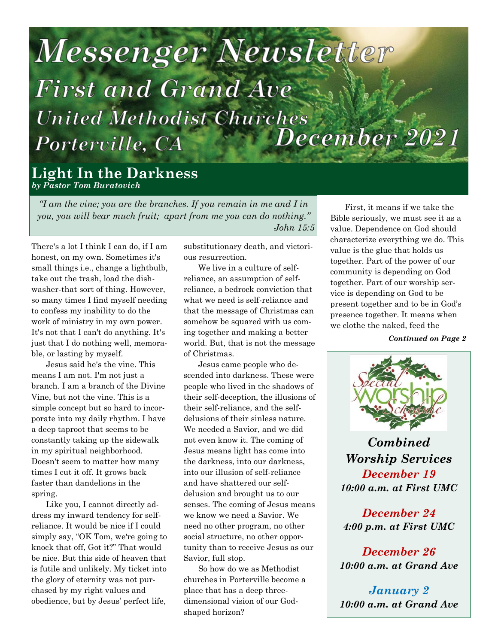# Messenger Newsletter **First and Grand Ave United Methodist Churches December 2021** Porterville, CA

**Light In the Darkness** *by Pastor Tom Buratovich*

*"I am the vine; you are the branches. If you remain in me and I in you, you will bear much fruit; apart from me you can do nothing." John 15:5*

There's a lot I think I can do, if I am honest, on my own. Sometimes it's small things i.e., change a lightbulb, take out the trash, load the dishwasher-that sort of thing. However, so many times I find myself needing to confess my inability to do the work of ministry in my own power. It's not that I can't do anything. It's just that I do nothing well, memorable, or lasting by myself.

Jesus said he's the vine. This means I am not. I'm not just a branch. I am a branch of the Divine Vine, but not the vine. This is a simple concept but so hard to incorporate into my daily rhythm. I have a deep taproot that seems to be constantly taking up the sidewalk in my spiritual neighborhood. Doesn't seem to matter how many times I cut it off. It grows back faster than dandelions in the spring.

Like you, I cannot directly address my inward tendency for selfreliance. It would be nice if I could simply say, "OK Tom, we're going to knock that off, Got it?" That would be nice. But this side of heaven that is futile and unlikely. My ticket into the glory of eternity was not purchased by my right values and obedience, but by Jesus' perfect life,

substitutionary death, and victorious resurrection.

We live in a culture of selfreliance, an assumption of selfreliance, a bedrock conviction that what we need is self-reliance and that the message of Christmas can somehow be squared with us coming together and making a better world. But, that is not the message of Christmas.

Jesus came people who descended into darkness. These were people who lived in the shadows of their self-deception, the illusions of their self-reliance, and the selfdelusions of their sinless nature. We needed a Savior, and we did not even know it. The coming of Jesus means light has come into the darkness, into our darkness, into our illusion of self-reliance and have shattered our selfdelusion and brought us to our senses. The coming of Jesus means we know we need a Savior. We need no other program, no other social structure, no other opportunity than to receive Jesus as our Savior, full stop.

So how do we as Methodist churches in Porterville become a place that has a deep threedimensional vision of our Godshaped horizon?

First, it means if we take the Bible seriously, we must see it as a value. Dependence on God should characterize everything we do. This value is the glue that holds us together. Part of the power of our community is depending on God together. Part of our worship service is depending on God to be present together and to be in God's presence together. It means when we clothe the naked, feed the

*Continued on Page 2*



*Combined Worship Services December 19 10:00 a.m. at First UMC*

*December 24 4:00 p.m. at First UMC*

*December 26 10:00 a.m. at Grand Ave*

*January 2 10:00 a.m. at Grand Ave*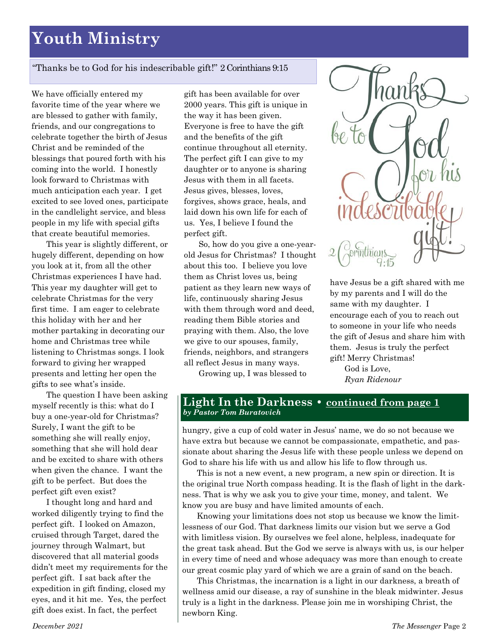## **Youth Ministry**

#### "Thanks be to God for his indescribable gift!" 2 Corinthians 9:15

We have officially entered my favorite time of the year where we are blessed to gather with family, friends, and our congregations to celebrate together the birth of Jesus Christ and be reminded of the blessings that poured forth with his coming into the world. I honestly look forward to Christmas with much anticipation each year. I get excited to see loved ones, participate in the candlelight service, and bless people in my life with special gifts that create beautiful memories.

This year is slightly different, or hugely different, depending on how you look at it, from all the other Christmas experiences I have had. This year my daughter will get to celebrate Christmas for the very first time. I am eager to celebrate this holiday with her and her mother partaking in decorating our home and Christmas tree while listening to Christmas songs. I look forward to giving her wrapped presents and letting her open the gifts to see what's inside.

The question I have been asking myself recently is this: what do I buy a one-year-old for Christmas? Surely, I want the gift to be something she will really enjoy, something that she will hold dear and be excited to share with others when given the chance. I want the gift to be perfect. But does the perfect gift even exist?

I thought long and hard and worked diligently trying to find the perfect gift. I looked on Amazon, cruised through Target, dared the journey through Walmart, but discovered that all material goods didn't meet my requirements for the perfect gift. I sat back after the expedition in gift finding, closed my eyes, and it hit me. Yes, the perfect gift does exist. In fact, the perfect

gift has been available for over 2000 years. This gift is unique in the way it has been given. Everyone is free to have the gift and the benefits of the gift continue throughout all eternity. The perfect gift I can give to my daughter or to anyone is sharing Jesus with them in all facets. Jesus gives, blesses, loves, forgives, shows grace, heals, and laid down his own life for each of us. Yes, I believe I found the perfect gift.

So, how do you give a one-yearold Jesus for Christmas? I thought about this too. I believe you love them as Christ loves us, being patient as they learn new ways of life, continuously sharing Jesus with them through word and deed, reading them Bible stories and praying with them. Also, the love we give to our spouses, family, friends, neighbors, and strangers all reflect Jesus in many ways.

Growing up, I was blessed to



have Jesus be a gift shared with me by my parents and I will do the same with my daughter. I encourage each of you to reach out to someone in your life who needs the gift of Jesus and share him with them. Jesus is truly the perfect gift! Merry Christmas!

God is Love, *Ryan Ridenour*

#### **Light In the Darkness • continued from page 1** *by Pastor Tom Buratovich*

hungry, give a cup of cold water in Jesus' name, we do so not because we have extra but because we cannot be compassionate, empathetic, and passionate about sharing the Jesus life with these people unless we depend on God to share his life with us and allow his life to flow through us.

This is not a new event, a new program, a new spin or direction. It is the original true North compass heading. It is the flash of light in the darkness. That is why we ask you to give your time, money, and talent. We know you are busy and have limited amounts of each.

Knowing your limitations does not stop us because we know the limitlessness of our God. That darkness limits our vision but we serve a God with limitless vision. By ourselves we feel alone, helpless, inadequate for the great task ahead. But the God we serve is always with us, is our helper in every time of need and whose adequacy was more than enough to create our great cosmic play yard of which we are a grain of sand on the beach.

This Christmas, the incarnation is a light in our darkness, a breath of wellness amid our disease, a ray of sunshine in the bleak midwinter. Jesus truly is a light in the darkness. Please join me in worshiping Christ, the newborn King.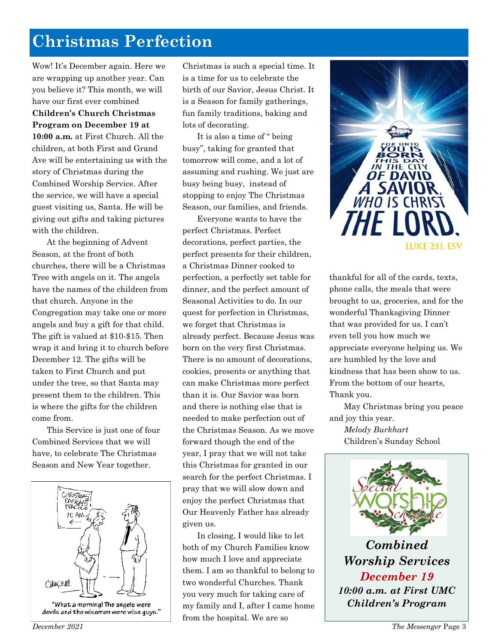## **Christmas Perfection**

Wow! It's December again. Here we are wrapping up another year. Can you believe it? This month, we will have our first ever combined **Children's Church Christmas Program on December 19 at 10:00 a.m.** at First Church. All the children, at both First and Grand Ave will be entertaining us with the story of Christmas during the Combined Worship Service. After the service, we will have a special guest visiting us, Santa. He will be giving out gifts and taking pictures with the children.

At the beginning of Advent Season, at the front of both churches, there will be a Christmas Tree with angels on it. The angels have the names of the children from that church. Anyone in the Congregation may take one or more angels and buy a gift for that child. The gift is valued at \$10-\$15. Then wrap it and bring it to church before December 12. The gifts will be taken to First Church and put under the tree, so that Santa may present them to the children. This is where the gifts for the children come from.

This Service is just one of four Combined Services that we will have, to celebrate The Christmas Season and New Year together.



Christmas is such a special time. It is a time for us to celebrate the birth of our Savior, Jesus Christ. It is a Season for family gatherings, fun family traditions, baking and lots of decorating.

It is also a time of " being busy", taking for granted that tomorrow will come, and a lot of assuming and rushing. We just are busy being busy, instead of stopping to enjoy The Christmas Season, our families, and friends.

Everyone wants to have the perfect Christmas. Perfect decorations, perfect parties, the perfect presents for their children, a Christmas Dinner cooked to perfection, a perfectly set table for dinner, and the perfect amount of Seasonal Activities to do. In our quest for perfection in Christmas, we forget that Christmas is already perfect. Because Jesus was born on the very first Christmas. There is no amount of decorations, cookies, presents or anything that can make Christmas more perfect than it is. Our Savior was born and there is nothing else that is needed to make perfection out of the Christmas Season. As we move forward though the end of the year, I pray that we will not take this Christmas for granted in our search for the perfect Christmas. I pray that we will slow down and enjoy the perfect Christmas that Our Heavenly Father has already given us.

In closing, I would like to let both of my Church Families know how much I love and appreciate them. I am so thankful to belong to two wonderful Churches. Thank you very much for taking care of my family and I, after I came home from the hospital. We are so



thankful for all of the cards, texts, phone calls, the meals that were brought to us, groceries, and for the wonderful Thanksgiving Dinner that was provided for us. I can't even tell you how much we appreciate everyone helping us. We are humbled by the love and kindness that has been show to us. From the bottom of our hearts, Thank you.

May Christmas bring you peace and joy this year.

*Melody Burkhart* Children's Sunday School



*10:00 a.m. at First UMC Children's Program*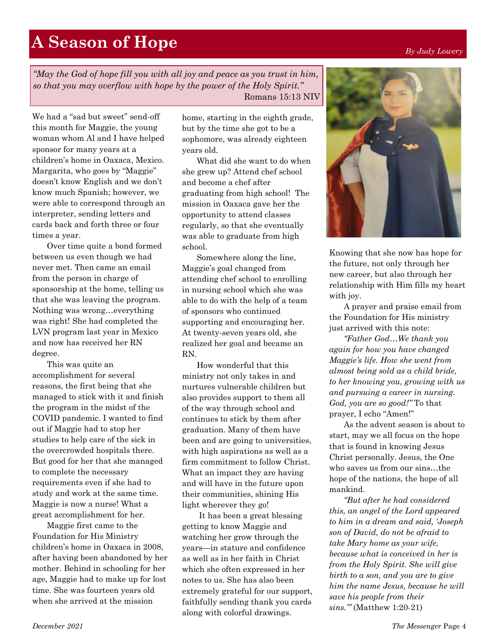*"May the God of hope fill you with all joy and peace as you trust in him, so that you may overflow with hope by the power of the Holy Spirit."*  Romans 15:13 NIV

We had a "sad but sweet" send-off this month for Maggie, the young woman whom Al and I have helped sponsor for many years at a children's home in Oaxaca, Mexico. Margarita, who goes by "Maggie" doesn't know English and we don't know much Spanish; however, we were able to correspond through an interpreter, sending letters and cards back and forth three or four times a year.

Over time quite a bond formed between us even though we had never met. Then came an email from the person in charge of sponsorship at the home, telling us that she was leaving the program. Nothing was wrong…everything was right! She had completed the LVN program last year in Mexico and now has received her RN degree.

This was quite an accomplishment for several reasons, the first being that she managed to stick with it and finish the program in the midst of the COVID pandemic. I wanted to find out if Maggie had to stop her studies to help care of the sick in the overcrowded hospitals there. But good for her that she managed to complete the necessary requirements even if she had to study and work at the same time. Maggie is now a nurse! What a great accomplishment for her.

Maggie first came to the Foundation for His Ministry children's home in Oaxaca in 2008, after having been abandoned by her mother. Behind in schooling for her age, Maggie had to make up for lost time. She was fourteen years old when she arrived at the mission

home, starting in the eighth grade, but by the time she got to be a sophomore, was already eighteen years old.

What did she want to do when she grew up? Attend chef school and become a chef after graduating from high school! The mission in Oaxaca gave her the opportunity to attend classes regularly, so that she eventually was able to graduate from high school.

Somewhere along the line, Maggie's goal changed from attending chef school to enrolling in nursing school which she was able to do with the help of a team of sponsors who continued supporting and encouraging her. At twenty-seven years old, she realized her goal and became an RN.

How wonderful that this ministry not only takes in and nurtures vulnerable children but also provides support to them all of the way through school and continues to stick by them after graduation. Many of them have been and are going to universities, with high aspirations as well as a firm commitment to follow Christ. What an impact they are having and will have in the future upon their communities, shining His light wherever they go!

It has been a great blessing getting to know Maggie and watching her grow through the years—in stature and confidence as well as in her faith in Christ which she often expressed in her notes to us. She has also been extremely grateful for our support, faithfully sending thank you cards along with colorful drawings.

Knowing that she now has hope for the future, not only through her new career, but also through her relationship with Him fills my heart with joy.

A prayer and praise email from the Foundation for His ministry just arrived with this note:

*"Father God…We thank you again for how you have changed Maggie's life. How she went from almost being sold as a child bride, to her knowing you, growing with us and pursuing a career in nursing. God, you are so good!"* To that prayer, I echo "Amen!"

As the advent season is about to start, may we all focus on the hope that is found in knowing Jesus Christ personally. Jesus, the One who saves us from our sins…the hope of the nations, the hope of all mankind.

*"But after he had considered this, an angel of the Lord appeared to him in a dream and said, 'Joseph son of David, do not be afraid to take Mary home as your wife, because what is conceived in her is from the Holy Spirit. She will give birth to a son, and you are to give him the name Jesus, because he will save his people from their sins.'"* (Matthew 1:20-21)

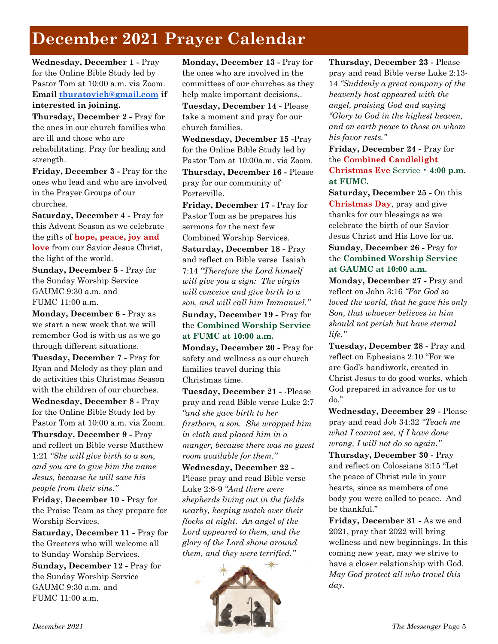## **December 2021 Prayer Calendar**

**Wednesday, December 1 -** Pray for the Online Bible Study led by Pastor Tom at 10:00 a.m. via Zoom. **Email [tburatovich@gmail.com](mailto:tburatovich@gmail.com) if interested in joining.**

**Thursday, December 2 -** Pray for the ones in our church families who are ill and those who are rehabilitating. Pray for healing and strength.

**Friday, December 3 -** Pray for the ones who lead and who are involved in the Prayer Groups of our churches.

**Saturday, December 4 -** Pray for this Advent Season as we celebrate the gifts of **hope, peace, joy and love** from our Savior Jesus Christ, the light of the world.

**Sunday, December 5 -** Pray for the Sunday Worship Service GAUMC 9:30 a.m. and FUMC 11:00 a.m.

**Monday, December 6 -** Pray as we start a new week that we will remember God is with us as we go through different situations.

**Tuesday, December 7 -** Pray for Ryan and Melody as they plan and do activities this Christmas Season with the children of our churches.

**Wednesday, December 8 -** Pray for the Online Bible Study led by Pastor Tom at 10:00 a.m. via Zoom.

**Thursday, December 9 -** Pray and reflect on Bible verse Matthew 1:21 *"She will give birth to a son, and you are to give him the name Jesus, because he will save his people from their sins."*

**Friday, December 10 -** Pray for the Praise Team as they prepare for Worship Services.

**Saturday, December 11 -** Pray for the Greeters who will welcome all to Sunday Worship Services.

**Sunday, December 12 -** Pray for the Sunday Worship Service GAUMC 9:30 a.m. and FUMC 11:00 a.m.

**Monday, December 13 -** Pray for the ones who are involved in the committees of our churches as they help make important decisions,.

**Tuesday, December 14 -** Please take a moment and pray for our church families.

**Wednesday, December 15 -**Pray for the Online Bible Study led by Pastor Tom at 10:00a.m. via Zoom. **Thursday, December 16 -** Please pray for our community of Porterville.

**Friday, December 17 -** Pray for Pastor Tom as he prepares his sermons for the next few Combined Worship Services.

**Saturday, December 18 -** Pray and reflect on Bible verse Isaiah 7:14 *"Therefore the Lord himself will give you a sign: The virgin will conceive and give birth to a son, and will call him Immanuel."*

**Sunday, December 19 -** Pray for the **Combined Worship Service at FUMC at 10:00 a.m.**

**Monday, December 20 -** Pray for safety and wellness as our church families travel during this Christmas time.

**Tuesday, December 21 -** -Please pray and read Bible verse Luke 2:7 *"and she gave birth to her firstborn, a son. She wrapped him in cloth and placed him in a manger, because there was no guest room available for them."*

**Wednesday, December 22 -** Please pray and read Bible verse Luke 2:8-9 *"And there were shepherds living out in the fields nearby, keeping watch over their flocks at night. An angel of the Lord appeared to them, and the glory of the Lord shone around them, and they were terrified."*



**Thursday, December 23 -** Please pray and read Bible verse Luke 2:13- 14 *"Suddenly a great company of the heavenly host appeared with the angel, praising God and saying "Glory to God in the highest heaven, and on earth peace to those on whom his favor rests."*

**Friday, December 24 -** Pray for the **Combined Candlelight Christmas Eve** Service • **4:00 p.m. at FUMC.**

**Saturday, December 25 -** On this **Christmas Day**, pray and give thanks for our blessings as we celebrate the birth of our Savior Jesus Christ and His Love for us.

#### **Sunday, December 26 -** Pray for the **Combined Worship Service at GAUMC at 10:00 a.m.**

**Monday, December 27 -** Pray and reflect on John 3:16 *"For God so loved the world, that he gave his only Son, that whoever believes in him should not perish but have eternal life."*

**Tuesday, December 28 -** Pray and reflect on Ephesians 2:10 "For we are God's handiwork, created in Christ Jesus to do good works, which God prepared in advance for us to do."

**Wednesday, December 29 -** Please pray and read Job 34:32 *"Teach me what I cannot see, if I have done wrong, I will not do so again."*

**Thursday, December 30 -** Pray and reflect on Colossians 3:15 "Let the peace of Christ rule in your hearts, since as members of one body you were called to peace. And be thankful."

**Friday, December 31 -** As we end 2021, pray that 2022 will bring wellness and new beginnings. In this coming new year, may we strive to have a closer relationship with God. *May God protect all who travel this day.*